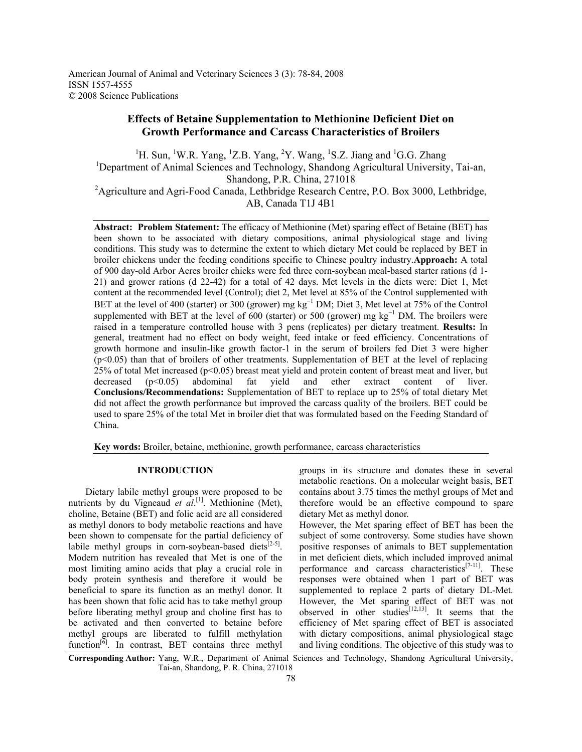# **Effects of Betaine Supplementation to Methionine Deficient Diet on Growth Performance and Carcass Characteristics of Broilers**

<sup>1</sup>H. Sun, <sup>1</sup>W.R. Yang, <sup>1</sup>Z.B. Yang, <sup>2</sup>Y. Wang, <sup>1</sup>S.Z. Jiang and <sup>1</sup>G.G. Zhang <sup>1</sup>Department of Animal Sciences and Technology, Shandong Agricultural University, Tai-an, Shandong, P.R. China, 271018 <sup>2</sup> Agriculture and Agri-Food Canada, Lethbridge Research Centre, P.O. Box 3000, Lethbridge, AB, Canada T1J 4B1

**Abstract: Problem Statement:** The efficacy of Methionine (Met) sparing effect of Betaine (BET) has been shown to be associated with dietary compositions, animal physiological stage and living conditions. This study was to determine the extent to which dietary Met could be replaced by BET in broiler chickens under the feeding conditions specific to Chinese poultry industry.**Approach:** A total of 900 day-old Arbor Acres broiler chicks were fed three corn-soybean meal-based starter rations (d 1- 21) and grower rations (d 22-42) for a total of 42 days. Met levels in the diets were: Diet 1, Met content at the recommended level (Control); diet 2, Met level at 85% of the Control supplemented with BET at the level of 400 (starter) or 300 (grower) mg kg<sup>-1</sup> DM; Diet 3, Met level at 75% of the Control supplemented with BET at the level of 600 (starter) or 500 (grower) mg kg<sup>-1</sup> DM. The broilers were raised in a temperature controlled house with 3 pens (replicates) per dietary treatment. **Results:** In general, treatment had no effect on body weight, feed intake or feed efficiency. Concentrations of growth hormone and insulin-like growth factor-1 in the serum of broilers fed Diet 3 were higher (p<0.05) than that of broilers of other treatments. Supplementation of BET at the level of replacing 25% of total Met increased ( $p<0.05$ ) breast meat yield and protein content of breast meat and liver, but decreased (p<0.05) abdominal fat yield and ether extract content of liver. **Conclusions/Recommendations:** Supplementation of BET to replace up to 25% of total dietary Met did not affect the growth performance but improved the carcass quality of the broilers. BET could be used to spare 25% of the total Met in broiler diet that was formulated based on the Feeding Standard of China.

**Key words:** Broiler, betaine, methionine, growth performance, carcass characteristics

## **INTRODUCTION**

 Dietary labile methyl groups were proposed to be nutrients by du Vigneaud et al.<sup>[1]</sup>. Methionine (Met), choline, Betaine (BET) and folic acid are all considered as methyl donors to body metabolic reactions and have been shown to compensate for the partial deficiency of labile methyl groups in corn-soybean-based diets<sup>[2-5]</sup>. Modern nutrition has revealed that Met is one of the most limiting amino acids that play a crucial role in body protein synthesis and therefore it would be beneficial to spare its function as an methyl donor. It has been shown that folic acid has to take methyl group before liberating methyl group and choline first has to be activated and then converted to betaine before methyl groups are liberated to fulfill methylation function $\left[6\right]$ . In contrast, BET contains three methyl groups in its structure and donates these in several metabolic reactions. On a molecular weight basis, BET contains about 3.75 times the methyl groups of Met and therefore would be an effective compound to spare dietary Met as methyl donor.

However, the Met sparing effect of BET has been the subject of some controversy. Some studies have shown positive responses of animals to BET supplementation in met deficient diets, which included improved animal performance and carcass characteristics<sup>[7-11]</sup>. These responses were obtained when 1 part of BET was supplemented to replace 2 parts of dietary DL-Met. However, the Met sparing effect of BET was not observed in other studies<sup>[12,13]</sup>. It seems that the efficiency of Met sparing effect of BET is associated with dietary compositions, animal physiological stage and living conditions. The objective of this study was to

**Corresponding Author:** Yang, W.R., Department of Animal Sciences and Technology, Shandong Agricultural University, Tai-an, Shandong, P. R. China, 271018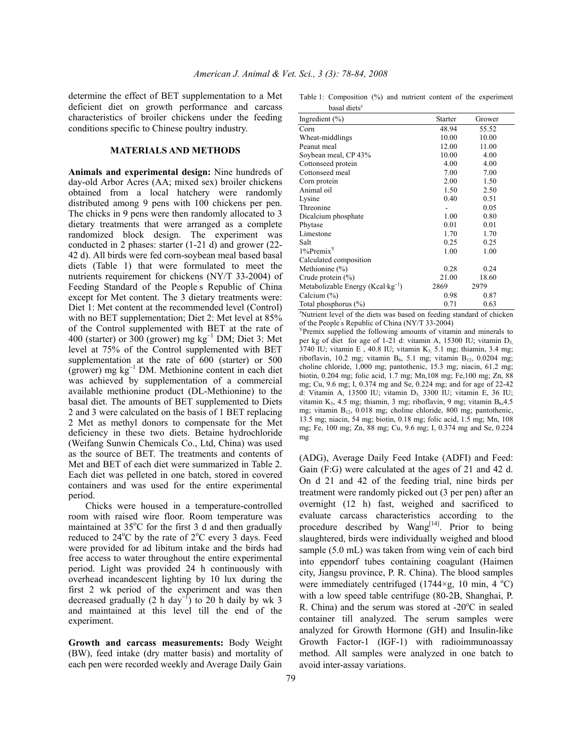determine the effect of BET supplementation to a Met deficient diet on growth performance and carcass characteristics of broiler chickens under the feeding conditions specific to Chinese poultry industry.

### **MATERIALS AND METHODS**

**Animals and experimental design:** Nine hundreds of day-old Arbor Acres (AA; mixed sex) broiler chickens obtained from a local hatchery were randomly distributed among 9 pens with 100 chickens per pen. The chicks in 9 pens were then randomly allocated to 3 dietary treatments that were arranged as a complete randomized block design. The experiment was conducted in 2 phases: starter (1-21 d) and grower (22- 42 d). All birds were fed corn-soybean meal based basal diets (Table 1) that were formulated to meet the nutrients requirement for chickens (NY/T 33-2004) of Feeding Standard of the People' s Republic of China except for Met content. The 3 dietary treatments were: Diet 1: Met content at the recommended level (Control) with no BET supplementation; Diet 2: Met level at 85% of the Control supplemented with BET at the rate of 400 (starter) or  $300$  (grower) mg kg<sup>-1</sup> DM; Diet 3: Met level at 75% of the Control supplemented with BET supplementation at the rate of 600 (starter) or 500 (grower) mg kg<sup>−</sup><sup>1</sup> DM. Methionine content in each diet was achieved by supplementation of a commercial available methionine product (DL-Methionine) to the basal diet. The amounts of BET supplemented to Diets 2 and 3 were calculated on the basis of 1 BET replacing 2 Met as methyl donors to compensate for the Met deficiency in these two diets. Betaine hydrochloride (Weifang Sunwin Chemicals Co., Ltd, China) was used as the source of BET. The treatments and contents of Met and BET of each diet were summarized in Table 2. Each diet was pelleted in one batch, stored in covered containers and was used for the entire experimental period.

 Chicks were housed in a temperature-controlled room with raised wire floor. Room temperature was maintained at  $35^{\circ}$ C for the first 3 d and then gradually reduced to  $24^{\circ}$ C by the rate of  $2^{\circ}$ C every 3 days. Feed were provided for ad libitum intake and the birds had free access to water throughout the entire experimental period. Light was provided 24 h continuously with overhead incandescent lighting by 10 lux during the first 2 wk period of the experiment and was then decreased gradually (2 h day<sup>-1</sup>) to 20 h daily by wk 3 and maintained at this level till the end of the experiment.

**Growth and carcass measurements:** Body Weight (BW), feed intake (dry matter basis) and mortality of each pen were recorded weekly and Average Daily Gain

Table 1: Composition (%) and nutrient content of the experiment basal diets<sup>z</sup>

| Ingredient $(\% )$                            | Starter | Grower |
|-----------------------------------------------|---------|--------|
| Corn                                          | 48.94   | 55.52  |
| Wheat-middlings                               | 10.00   | 10.00  |
| Peanut meal                                   | 12.00   | 11.00  |
| Soybean meal, CP 43%                          | 10.00   | 4.00   |
| Cottonseed protein                            | 4.00    | 4.00   |
| Cottonseed meal                               | 7.00    | 7.00   |
| Corn protein                                  | 2.00    | 1.50   |
| Animal oil                                    | 1.50    | 2.50   |
| Lysine                                        | 0.40    | 0.51   |
| Threonine                                     |         | 0.05   |
| Dicalcium phosphate                           | 1.00    | 0.80   |
| Phytase                                       | 0.01    | 0.01   |
| Limestone                                     | 1.70    | 1.70   |
| Salt                                          | 0.25    | 0.25   |
| $1\%$ Premix <sup>Y</sup>                     | 1.00    | 1.00   |
| Calculated composition                        |         |        |
| Methionine $(\%)$                             | 0.28    | 0.24   |
| Crude protein $(\% )$                         | 21.00   | 18.60  |
| Metabolizable Energy (Kcal·kg <sup>-1</sup> ) | 2869    | 2979   |
| Calcium $(\% )$                               | 0.98    | 0.87   |
| Total phosphorus (%)                          | 0.71    | 0.63   |

z Nutrient level of the diets was based on feeding standard of chicken of the People's Republic of China (NY/T 33-2004)

 $Y$ Premix supplied the following amounts of vitamin and minerals to per kg of diet for age of 1-21 d: vitamin A, 15300 IU; vitamin D3,  $3740$  IU; vitamin E, 40.8 IU; vitamin K<sub>3</sub>, 5.1 mg; thiamin, 3.4 mg; riboflavin, 10.2 mg; vitamin  $B_6$ , 5.1 mg; vitamin  $B_{12}$ , 0.0204 mg; choline chloride, 1,000 mg; pantothenic, 15.3 mg; niacin, 61.2 mg; biotin, 0.204 mg; folic acid, 1.7 mg; Mn,108 mg; Fe,100 mg; Zn, 88 mg; Cu, 9.6 mg; I, 0.374 mg and Se, 0.224 mg; and for age of 22-42 d: Vitamin A, 13500 IU; vitamin D3, 3300 IU; vitamin E, 36 IU; vitamin K<sub>3</sub>, 4.5 mg; thiamin, 3 mg; riboflavin, 9 mg; vitamin B<sub>6</sub>, 4.5 mg; vitamin B12, 0.018 mg; choline chloride, 800 mg; pantothenic, 13.5 mg; niacin, 54 mg; biotin, 0.18 mg; folic acid, 1.5 mg; Mn, 108 mg; Fe, 100 mg; Zn, 88 mg; Cu, 9.6 mg; I, 0.374 mg and Se, 0.224 mg

(ADG), Average Daily Feed Intake (ADFI) and Feed: Gain (F:G) were calculated at the ages of 21 and 42 d. On d 21 and 42 of the feeding trial, nine birds per treatment were randomly picked out (3 per pen) after an overnight (12 h) fast, weighed and sacrificed to evaluate carcass characteristics according to the procedure described by  $Wang^{[14]}$ . Prior to being slaughtered, birds were individually weighed and blood sample (5.0 mL) was taken from wing vein of each bird into eppendorf tubes containing coagulant (Haimen city, Jiangsu province, P. R. China). The blood samples were immediately centrifuged  $(1744 \times g, 10 \text{ min}, 4 \degree C)$ with a low speed table centrifuge (80-2B, Shanghai, P. R. China) and the serum was stored at  $-20^{\circ}$ C in sealed container till analyzed. The serum samples were analyzed for Growth Hormone (GH) and Insulin-like Growth Factor-1 (IGF-1) with radioimmunoassay method. All samples were analyzed in one batch to avoid inter-assay variations.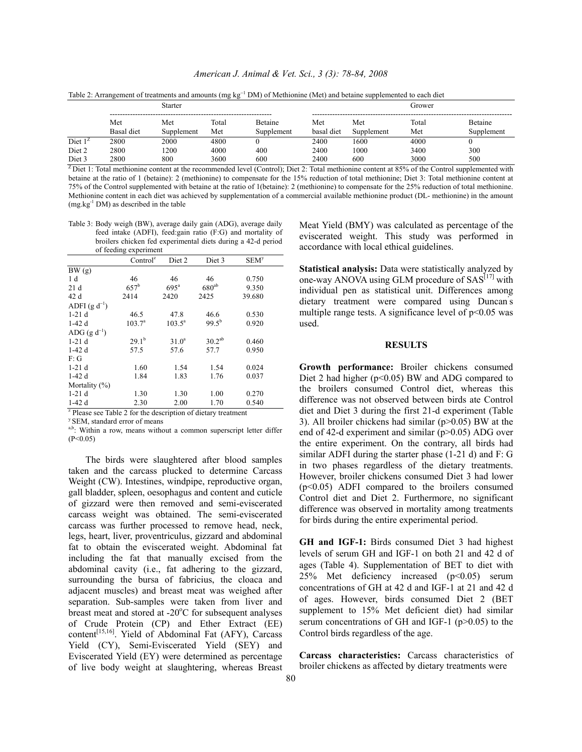*American J. Animal & Vet. Sci., 3 (3): 78-84, 2008*

|                  | <b>Starter</b>           |                   |              |                |                   | Grower            |              |            |
|------------------|--------------------------|-------------------|--------------|----------------|-------------------|-------------------|--------------|------------|
|                  | Met<br><b>Basal</b> diet | Met<br>Supplement | Total<br>Met | <b>Betaine</b> | Met<br>basal diet | Met<br>Supplement | Total<br>Met | Betaine    |
| Diet $1^2$       | 2800                     | 2000              | 4800         | Supplement     | 2400              | 1600              | 4000         | Supplement |
| Diet 2<br>Diet 3 | 2800<br>2800             | 200<br>800        | 4000<br>3600 | 400<br>600     | 2400<br>2400      | 1000<br>600       | 3400<br>3000 | 300<br>500 |

Table 2: Arrangement of treatments and amounts (mg kg<sup>-1</sup> DM) of Methionine (Met) and betaine supplemented to each diet

 $Z$  Diet 1: Total methionine content at the recommended level (Control); Diet 2: Total methionine content at 85% of the Control supplemented with betaine at the ratio of 1 (betaine): 2 (methionine) to compensate for the 15% reduction of total methionine; Diet 3: Total methionine content at 75% of the Control supplemented with betaine at the ratio of 1(betaine): 2 (methionine) to compensate for the 25% reduction of total methionine. Methionine content in each diet was achieved by supplementation of a commercial available methionine product (DL- methionine) in the amount  $(mg.kg<sup>-1</sup> DM)$  as described in the table

Table 3: Body weigh (BW), average daily gain (ADG), average daily feed intake (ADFI), feed:gain ratio (F:G) and mortality of broilers chicken fed experimental diets during a 42-d period of feeding experiment

| of recume experiment                                                     |                      |                   |                    |                        |  |  |  |  |
|--------------------------------------------------------------------------|----------------------|-------------------|--------------------|------------------------|--|--|--|--|
|                                                                          | Control <sup>z</sup> | Diet 2            | Diet 3             | <b>SEM<sup>y</sup></b> |  |  |  |  |
| BW(g)                                                                    |                      |                   |                    |                        |  |  |  |  |
| 1 d                                                                      | 46                   | 46                | 46                 | 0.750                  |  |  |  |  |
| 21 d                                                                     | $657^{\rm b}$        | 695 <sup>a</sup>  | $680^{ab}$         | 9.350                  |  |  |  |  |
| 42 d                                                                     | 2414                 | 2420              | 2425               | 39.680                 |  |  |  |  |
| ADFI $(g d^{-1})$                                                        |                      |                   |                    |                        |  |  |  |  |
| $1-21d$                                                                  | 46.5                 | 47.8              | 46.6               | 0.530                  |  |  |  |  |
| $1-42d$                                                                  | $103.7^{\circ}$      | $103.5^{\circ}$   | $99.5^{b}$         | 0.920                  |  |  |  |  |
| ADG $(g d^{-1})$                                                         |                      |                   |                    |                        |  |  |  |  |
| $1-21d$                                                                  | $29.1^{b}$           | 31.0 <sup>a</sup> | 30.2 <sup>ab</sup> | 0.460                  |  |  |  |  |
| $1-42d$                                                                  | 57.5                 | 57.6              | 57.7               | 0.950                  |  |  |  |  |
| F:G                                                                      |                      |                   |                    |                        |  |  |  |  |
| $1-21d$                                                                  | 1.60                 | 1.54              | 1.54               | 0.024                  |  |  |  |  |
| $1-42d$                                                                  | 1.84                 | 1.83              | 1.76               | 0.037                  |  |  |  |  |
| Mortality $(\%)$                                                         |                      |                   |                    |                        |  |  |  |  |
| $1-21d$                                                                  | 1.30                 | 1.30              | 1.00               | 0.270                  |  |  |  |  |
| $1-42d$                                                                  | 2.30                 | 2.00              | 1.70               | 0.540                  |  |  |  |  |
| <sup>z</sup> Please see Table 2 for the description of dietary treatment |                      |                   |                    |                        |  |  |  |  |

y SEM, standard error of means

a,b: Within a row, means without a common superscript letter differ  $(P<0.05)$ 

 The birds were slaughtered after blood samples taken and the carcass plucked to determine Carcass Weight (CW). Intestines, windpipe, reproductive organ, gall bladder, spleen, oesophagus and content and cuticle of gizzard were then removed and semi-eviscerated carcass weight was obtained. The semi-eviscerated carcass was further processed to remove head, neck, legs, heart, liver, proventriculus, gizzard and abdominal fat to obtain the eviscerated weight. Abdominal fat including the fat that manually excised from the abdominal cavity (i.e., fat adhering to the gizzard, surrounding the bursa of fabricius, the cloaca and adjacent muscles) and breast meat was weighed after separation. Sub-samples were taken from liver and breast meat and stored at -20°C for subsequent analyses of Crude Protein (CP) and Ether Extract (EE) content<sup>[15,16]</sup>. Yield of Abdominal Fat (AFY), Carcass Yield (CY), Semi-Eviscerated Yield (SEY) and Eviscerated Yield (EY) were determined as percentage of live body weight at slaughtering, whereas Breast

Meat Yield (BMY) was calculated as percentage of the eviscerated weight. This study was performed in accordance with local ethical guidelines.

**Statistical analysis:** Data were statistically analyzed by one-way ANOVA using GLM procedure of  $SAS^{[17]}$  with individual pen as statistical unit. Differences among dietary treatment were compared using Duncan's multiple range tests. A significance level of  $p<0.05$  was used.

### **RESULTS**

**Growth performance:** Broiler chickens consumed Diet 2 had higher ( $p<0.05$ ) BW and ADG compared to the broilers consumed Control diet, whereas this difference was not observed between birds ate Control diet and Diet 3 during the first 21-d experiment (Table 3). All broiler chickens had similar (p>0.05) BW at the end of 42-d experiment and similar (p>0.05) ADG over the entire experiment. On the contrary, all birds had similar ADFI during the starter phase (1-21 d) and F: G in two phases regardless of the dietary treatments. However, broiler chickens consumed Diet 3 had lower (p<0.05) ADFI compared to the broilers consumed Control diet and Diet 2. Furthermore, no significant difference was observed in mortality among treatments for birds during the entire experimental period.

**GH and IGF-1:** Birds consumed Diet 3 had highest levels of serum GH and IGF-1 on both 21 and 42 d of ages (Table 4). Supplementation of BET to diet with 25% Met deficiency increased (p<0.05) serum concentrations of GH at 42 d and IGF-1 at 21 and 42 d of ages. However, birds consumed Diet 2 (BET supplement to 15% Met deficient diet) had similar serum concentrations of GH and IGF-1 (p>0.05) to the Control birds regardless of the age.

**Carcass characteristics:** Carcass characteristics of broiler chickens as affected by dietary treatments were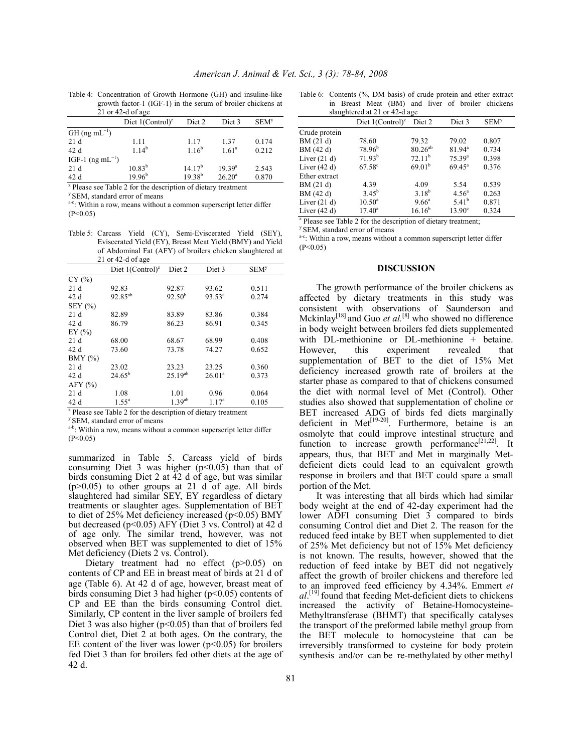|                                                                          | 21 or 42-d of age               |                    |                   |                  |  |  |
|--------------------------------------------------------------------------|---------------------------------|--------------------|-------------------|------------------|--|--|
|                                                                          | Diet $1$ (Control) <sup>z</sup> | Diet 2             | Diet 3            | SEM <sup>y</sup> |  |  |
| $GH$ (ng mL <sup>-1</sup> )                                              |                                 |                    |                   |                  |  |  |
| 21d                                                                      | 1.11                            | 1.17               | 1.37              | 0.174            |  |  |
| 42d                                                                      | 1.14 <sup>b</sup>               | $1.16^{b}$         | 1.61 <sup>a</sup> | 0.212            |  |  |
| IGF-1 $(ng mL^{-1})$                                                     |                                 |                    |                   |                  |  |  |
| 21d                                                                      | $10.83^{b}$                     | 14.17 <sup>b</sup> | $19.39^{a}$       | 2.543            |  |  |
| 42 d                                                                     | $19.96^{\rm b}$                 | $19.38^{b}$        | $26.20^{\rm a}$   | 0.870            |  |  |
| <sup>z</sup> Please see Table 2 for the description of dietary treatment |                                 |                    |                   |                  |  |  |

Table 4: Concentration of Growth Hormone (GH) and insuline-like growth factor-1 (IGF-1) in the serum of broiler chickens at 21 or 42-d of age

<sup>y</sup> SEM, standard error of means.

a-c: Within a row, means without a common superscript letter differ  $(P<0.05)$ 

Table 5: Carcass Yield (CY), Semi-Eviscerated Yield (SEY), Eviscerated Yield (EY), Breast Meat Yield (BMY) and Yield of Abdominal Fat (AFY) of broilers chicken slaughtered at 21 or 42-d of age

|                                                                           | Diet $1$ (Control) <sup>z</sup> | Diet 2       | Diet 3            | <b>SEM<sup>y</sup></b> |  |  |  |
|---------------------------------------------------------------------------|---------------------------------|--------------|-------------------|------------------------|--|--|--|
| CY(%)                                                                     |                                 |              |                   |                        |  |  |  |
| 21d                                                                       | 92.83                           | 92.87        | 93.62             | 0.511                  |  |  |  |
| 42 d                                                                      | $92.85^{ab}$                    | $92.50^{b}$  | $93.53^a$         | 0.274                  |  |  |  |
| $SEY$ $(\% )$                                                             |                                 |              |                   |                        |  |  |  |
| 21d                                                                       | 82.89                           | 83.89        | 83.86             | 0.384                  |  |  |  |
| 42 d                                                                      | 86.79                           | 86.23        | 86.91             | 0.345                  |  |  |  |
| EY $(\% )$                                                                |                                 |              |                   |                        |  |  |  |
| 21d                                                                       | 68.00                           | 68.67        | 68.99             | 0.408                  |  |  |  |
| 42 d                                                                      | 73.60                           | 73.78        | 74.27             | 0.652                  |  |  |  |
| $BMY$ $(\%)$                                                              |                                 |              |                   |                        |  |  |  |
| 21d                                                                       | 23.02                           | 23.23        | 23.25             | 0.360                  |  |  |  |
| 42 d                                                                      | $24.65^{\rm b}$                 | $25.19^{ab}$ | $26.01^a$         | 0.373                  |  |  |  |
| $AFY$ (%)                                                                 |                                 |              |                   |                        |  |  |  |
| 21d                                                                       | 1.08                            | 1.01         | 0.96              | 0.064                  |  |  |  |
| 42 d                                                                      | $1.55^{\circ}$                  | $1.39^{ab}$  | 1.17 <sup>a</sup> | 0.105                  |  |  |  |
| $\frac{1}{2}$ Please see Table 2 for the description of dietary treatment |                                 |              |                   |                        |  |  |  |

y SEM, standard error of means

a-b: Within a row, means without a common superscript letter differ  $(P<0.05)$ 

summarized in Table 5. Carcass yield of birds consuming Diet 3 was higher  $(p<0.05)$  than that of birds consuming Diet 2 at  $\overline{4}2$  d of age, but was similar  $(p>0.05)$  to other groups at 21 d of age. All birds slaughtered had similar SEY, EY regardless of dietary treatments or slaughter ages. Supplementation of BET to diet of 25% Met deficiency increased ( $p$ <0.05) BMY but decreased (p<0.05) AFY (Diet 3 vs. Control) at 42 d of age only. The similar trend, however, was not observed when BET was supplemented to diet of 15% Met deficiency (Diets 2 vs. Control).

Dietary treatment had no effect (p>0.05) on contents of CP and EE in breast meat of birds at 21 d of age (Table 6). At 42 d of age, however, breast meat of birds consuming Diet 3 had higher  $(p<0.05)$  contents of CP and EE than the birds consuming Control diet. Similarly, CP content in the liver sample of broilers fed Diet 3 was also higher ( $p<0.05$ ) than that of broilers fed Control diet, Diet 2 at both ages. On the contrary, the EE content of the liver was lower  $(p<0.05)$  for broilers fed Diet 3 than for broilers fed other diets at the age of 42 d.

|  |                               |  |  |  | Table 6: Contents (%, DM basis) of crude protein and ether extract |  |
|--|-------------------------------|--|--|--|--------------------------------------------------------------------|--|
|  |                               |  |  |  | in Breast Meat (BM) and liver of broiler chickens                  |  |
|  | slaughtered at 21 or 42-d age |  |  |  |                                                                    |  |

|                | Diet $1$ (Control) <sup>z</sup>                                           | Diet 2             | Diet 3            | <b>SEM<sup>y</sup></b> |  |  |  |  |  |
|----------------|---------------------------------------------------------------------------|--------------------|-------------------|------------------------|--|--|--|--|--|
| Crude protein  |                                                                           |                    |                   |                        |  |  |  |  |  |
| BM (21 d)      | 78.60                                                                     | 79.32              | 79.02             | 0.807                  |  |  |  |  |  |
| BM (42 d)      | $78.96^{b}$                                                               | $80.26^{ab}$       | $81.94^{\circ}$   | 0.734                  |  |  |  |  |  |
| Liver $(21 d)$ | 71.93 <sup>b</sup>                                                        | $72.11^{b}$        | $75.39^{a}$       | 0.398                  |  |  |  |  |  |
| Liver $(42 d)$ | $67.58^{\circ}$                                                           | 69.01 <sup>b</sup> | $69.45^{\circ}$   | 0.376                  |  |  |  |  |  |
| Ether extract  |                                                                           |                    |                   |                        |  |  |  |  |  |
| BM (21 d)      | 4.39                                                                      | 4.09               | 5.54              | 0.539                  |  |  |  |  |  |
| BM (42 d)      | $3.45^{b}$                                                                | $3.18^{b}$         | $4.56^{\circ}$    | 0.263                  |  |  |  |  |  |
| Liver $(21 d)$ | $10.50^{\circ}$                                                           | $9.66^{\circ}$     | 5.41 <sup>b</sup> | 0.871                  |  |  |  |  |  |
| Liver $(42 d)$ | $17.40^{\circ}$                                                           | $16.16^{b}$        | $13.90^\circ$     | 0.324                  |  |  |  |  |  |
|                | <sup>z</sup> Please see Table 2 for the description of dietary treatment; |                    |                   |                        |  |  |  |  |  |

y SEM, standard error of means

a-c: Within a row, means without a common superscript letter differ  $(P<0.05)$ 

### **DISCUSSION**

 The growth performance of the broiler chickens as affected by dietary treatments in this study was consistent with observations of Saunderson and Mckinlay<sup>[18]</sup> and Guo *et al.*<sup>[8]</sup> who showed no difference in body weight between broilers fed diets supplemented with DL-methionine or DL-methionine + betaine. However, this experiment revealed that supplementation of BET to the diet of 15% Met deficiency increased growth rate of broilers at the starter phase as compared to that of chickens consumed the diet with normal level of Met (Control). Other studies also showed that supplementation of choline or BET increased ADG of birds fed diets marginally deficient in Met $[19-20]$ . Furthermore, betaine is an osmolyte that could improve intestinal structure and function to increase growth performance<sup>[21,22]</sup>. It appears, thus, that BET and Met in marginally Metdeficient diets could lead to an equivalent growth response in broilers and that BET could spare a small portion of the Met.

 It was interesting that all birds which had similar body weight at the end of 42-day experiment had the lower ADFI consuming Diet 3 compared to birds consuming Control diet and Diet 2. The reason for the reduced feed intake by BET when supplemented to diet of 25% Met deficiency but not of 15% Met deficiency is not known. The results, however, showed that the reduction of feed intake by BET did not negatively affect the growth of broiler chickens and therefore led to an improved feed efficiency by 4.34%. Emmert *et al*. [19] found that feeding Met-deficient diets to chickens increased the activity of Betaine-Homocysteine-Methyltransferase (BHMT) that specifically catalyses the transport of the preformed labile methyl group from the BET molecule to homocysteine that can be irreversibly transformed to cysteine for body protein synthesis and/or can be re-methylated by other methyl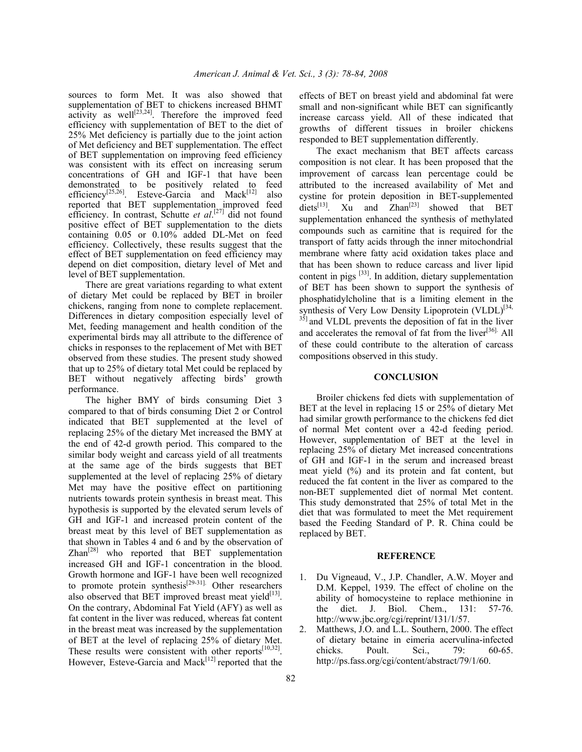sources to form Met. It was also showed that supplementation of BET to chickens increased BHMT activity as well $[23,24]$ . Therefore the improved feed efficiency with supplementation of BET to the diet of 25% Met deficiency is partially due to the joint action of Met deficiency and BET supplementation. The effect of BET supplementation on improving feed efficiency was consistent with its effect on increasing serum concentrations of GH and IGF-1 that have been demonstrated to be positively related to feed efficiency<sup>[25,26]</sup>. Esteve-Garcia and Mack<sup>[12]</sup> also reported that BET supplementation improved feed efficiency. In contrast, Schutte *et al.*<sup>[27]</sup> did not found positive effect of BET supplementation to the diets containing 0.05 or 0.10% added DL-Met on feed efficiency. Collectively, these results suggest that the effect of BET supplementation on feed efficiency may depend on diet composition, dietary level of Met and level of BET supplementation.

 There are great variations regarding to what extent of dietary Met could be replaced by BET in broiler chickens, ranging from none to complete replacement. Differences in dietary composition especially level of Met, feeding management and health condition of the experimental birds may all attribute to the difference of chicks in responses to the replacement of Met with BET observed from these studies. The present study showed that up to 25% of dietary total Met could be replaced by BET without negatively affecting birds' growth performance.

 The higher BMY of birds consuming Diet 3 compared to that of birds consuming Diet 2 or Control indicated that BET supplemented at the level of replacing 25% of the dietary Met increased the BMY at the end of 42-d growth period. This compared to the similar body weight and carcass yield of all treatments at the same age of the birds suggests that BET supplemented at the level of replacing 25% of dietary Met may have the positive effect on partitioning nutrients towards protein synthesis in breast meat. This hypothesis is supported by the elevated serum levels of GH and IGF-1 and increased protein content of the breast meat by this level of BET supplementation as that shown in Tables 4 and 6 and by the observation of  $\text{Zhan}^{[28]}$  who reported that BET supplementation increased GH and IGF-1 concentration in the blood. Growth hormone and IGF-1 have been well recognized to promote protein synthesis<sup>[29-31].</sup> Other researchers also observed that BET improved breast meat yield $[13]$ . On the contrary, Abdominal Fat Yield (AFY) as well as fat content in the liver was reduced, whereas fat content in the breast meat was increased by the supplementation of BET at the level of replacing 25% of dietary Met. These results were consistent with other reports $[10,32]$ . However, Esteve-Garcia and Mack<sup>[12]</sup> reported that the

effects of BET on breast yield and abdominal fat were small and non-significant while BET can significantly increase carcass yield. All of these indicated that growths of different tissues in broiler chickens responded to BET supplementation differently.

 The exact mechanism that BET affects carcass composition is not clear. It has been proposed that the improvement of carcass lean percentage could be attributed to the increased availability of Met and cystine for protein deposition in BET-supplemented diets<sup>[13]</sup>. Xu and  $Zhan^{[23]}$  showed that BET supplementation enhanced the synthesis of methylated compounds such as carnitine that is required for the transport of fatty acids through the inner mitochondrial membrane where fatty acid oxidation takes place and that has been shown to reduce carcass and liver lipid content in pigs [33]. In addition, dietary supplementation of BET has been shown to support the synthesis of phosphatidylcholine that is a limiting element in the synthesis of Very Low Density Lipoprotein (VLDL)<sup>[34,</sup>  $35$ ] and VLDL prevents the deposition of fat in the liver and accelerates the removal of fat from the liver<sup>[36].</sup> All of these could contribute to the alteration of carcass compositions observed in this study.

## **CONCLUSION**

 Broiler chickens fed diets with supplementation of BET at the level in replacing 15 or 25% of dietary Met had similar growth performance to the chickens fed diet of normal Met content over a 42-d feeding period. However, supplementation of BET at the level in replacing 25% of dietary Met increased concentrations of GH and IGF-1 in the serum and increased breast meat yield (%) and its protein and fat content, but reduced the fat content in the liver as compared to the non-BET supplemented diet of normal Met content. This study demonstrated that 25% of total Met in the diet that was formulated to meet the Met requirement based the Feeding Standard of P. R. China could be replaced by BET.

#### **REFERENCE**

- 1. Du Vigneaud, V., J.P. Chandler, A.W. Moyer and D.M. Keppel, 1939. The effect of choline on the ability of homocysteine to replace methionine in the diet. J. Biol. Chem., 131: 57-76. http://www.jbc.org/cgi/reprint/131/1/57.
- 2. Matthews, J.O. and L.L. Southern, 2000. The effect of dietary betaine in eimeria acervulina-infected chicks. Poult. Sci., 79: 60-65. http://ps.fass.org/cgi/content/abstract/79/1/60.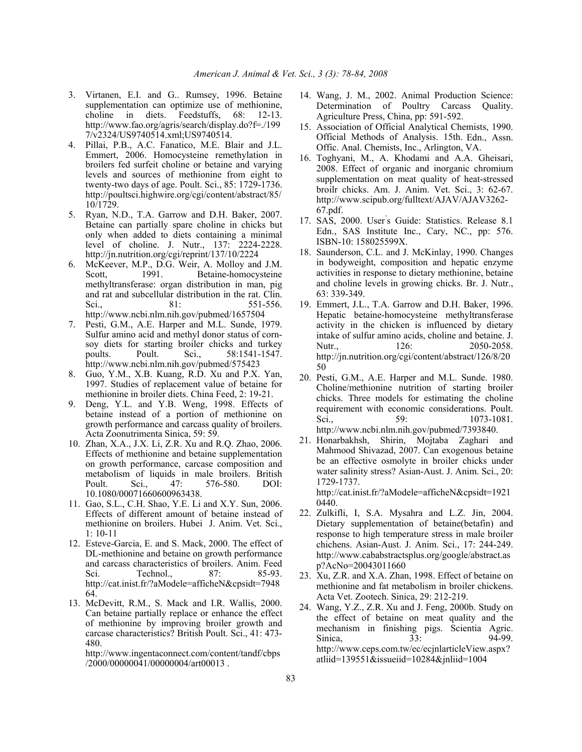- 3. Virtanen, E.I. and G.. Rumsey, 1996. Betaine supplementation can optimize use of methionine, choline in diets. Feedstuffs, 68: 12-13. http://www.fao.org/agris/search/display.do?f=./199 7/v2324/US9740514.xml;US9740514.
- 4. Pillai, P.B., A.C. Fanatico, M.E. Blair and J.L. Emmert, 2006. Homocysteine remethylation in broilers fed surfeit choline or betaine and varying levels and sources of methionine from eight to twenty-two days of age. Poult. Sci., 85: 1729-1736. http://poultsci.highwire.org/cgi/content/abstract/85/ 10/1729.
- 5. Ryan, N.D., T.A. Garrow and D.H. Baker, 2007. Betaine can partially spare choline in chicks but only when added to diets containing a minimal level of choline. J. Nutr., 137: 2224-2228. http://jn.nutrition.org/cgi/reprint/137/10/2224
- 6. McKeever, M.P., D.G. Weir, A. Molloy and J.M. Scott, 1991. Betaine-homocysteine methyltransferase: organ distribution in man, pig and rat and subcellular distribution in the rat. Clin. Sci., 81: 551-556. http://www.ncbi.nlm.nih.gov/pubmed/1657504
- 7. Pesti, G.M., A.E. Harper and M.L. Sunde, 1979. Sulfur amino acid and methyl donor status of cornsoy diets for starting broiler chicks and turkey poults. Poult. Sci., 58:1541-1547. http://www.ncbi.nlm.nih.gov/pubmed/575423
- 8. Guo, Y.M., X.B. Kuang, R.D. Xu and P.X. Yan, 1997. Studies of replacement value of betaine for methionine in broiler diets. China Feed, 2: 19-21.
- 9. Deng, Y.L. and Y.B. Weng, 1998. Effects of betaine instead of a portion of methionine on growth performance and carcass quality of broilers. Acta Zoonutrimenta Sinica, 59: 59.
- 10. Zhan, X.A., J.X. Li, Z.R. Xu and R.Q. Zhao, 2006. Effects of methionine and betaine supplementation on growth performance, carcase composition and metabolism of liquids in male broilers. British Poult. Sci., 47: 576-580. DOI: 10.1080/00071660600963438.
- 11. Gao, S.L., C.H. Shao, Y.E. Li and X.Y. Sun, 2006. Effects of different amount of betaine instead of methionine on broilers. Hubei J. Anim. Vet. Sci., 1: 10-11
- 12. Esteve-Garcia, E. and S. Mack, 2000. The effect of DL-methionine and betaine on growth performance and carcass characteristics of broilers. Anim. Feed Sci. Technol., 87: 85-93. http://cat.inist.fr/?aModele=afficheN&cpsidt=7948 64.
- 13. McDevitt, R.M., S. Mack and I.R. Wallis, 2000. Can betaine partially replace or enhance the effect of methionine by improving broiler growth and carcase characteristics? British Poult. Sci., 41: 473- 480.

http://www.ingentaconnect.com/content/tandf/cbps /2000/00000041/00000004/art00013 .

- 14. Wang, J. M., 2002. Animal Production Science: Determination of Poultry Carcass Quality. Agriculture Press, China, pp: 591-592.
- 15. Association of Official Analytical Chemists, 1990. Official Methods of Analysis. 15th. Edn., Assn. Offic. Anal. Chemists, Inc., Arlington, VA.
- 16. Toghyani, M., A. Khodami and A.A. Gheisari, 2008. Effect of organic and inorganic chromium supplementation on meat quality of heat-stressed broilr chicks. Am. J. Anim. Vet. Sci., 3: 62-67. http://www.scipub.org/fulltext/AJAV/AJAV3262- 67.pdf.
- 17. SAS, 2000. User' s Guide: Statistics. Release 8.1 Edn., SAS Institute Inc., Cary, NC., pp: 576. ISBN-10: 158025599X.
- 18. Saunderson, C.L. and J. McKinlay, 1990. Changes in bodyweight, composition and hepatic enzyme activities in response to dietary methionine, betaine and choline levels in growing chicks. Br. J. Nutr., 63: 339-349.
- 19. Emmert, J.L., T.A. Garrow and D.H. Baker, 1996. Hepatic betaine-homocysteine methyltransferase activity in the chicken is influenced by dietary intake of sulfur amino acids, choline and betaine. J. Nutr., 126: 2050-2058. http://jn.nutrition.org/cgi/content/abstract/126/8/20 50
- 20. Pesti, G.M., A.E. Harper and M.L. Sunde. 1980. Choline/methionine nutrition of starting broiler chicks. Three models for estimating the choline requirement with economic considerations. Poult. Sci., 59: 1073-1081. http://www.ncbi.nlm.nih.gov/pubmed/7393840.
- 21. Honarbakhsh, Shirin, Mojtaba Zaghari and Mahmood Shivazad, 2007. Can exogenous betaine be an effective osmolyte in broiler chicks under water salinity stress? Asian-Aust. J. Anim. Sci., 20: 1729-1737.

http://cat.inist.fr/?aModele=afficheN&cpsidt=1921 0440.

- 22. Zulkifli, I, S.A. Mysahra and L.Z. Jin, 2004. Dietary supplementation of betaine(betafin) and response to high temperature stress in male broiler chichens. Asian-Aust. J. Anim. Sci., 17: 244-249. http://www.cababstractsplus.org/google/abstract.as p?AcNo=20043011660
- 23. Xu, Z.R. and X.A. Zhan, 1998. Effect of betaine on methionine and fat metabolism in broiler chickens. Acta Vet. Zootech. Sinica, 29: 212-219.
- 24. Wang, Y.Z., Z.R. Xu and J. Feng, 2000b. Study on the effect of betaine on meat quality and the mechanism in finishing pigs. Scientia Agric. Sinica, 33: 94-99. http://www.ceps.com.tw/ec/ecjnlarticleView.aspx? atliid=139551&issueiid=10284&jnliid=1004